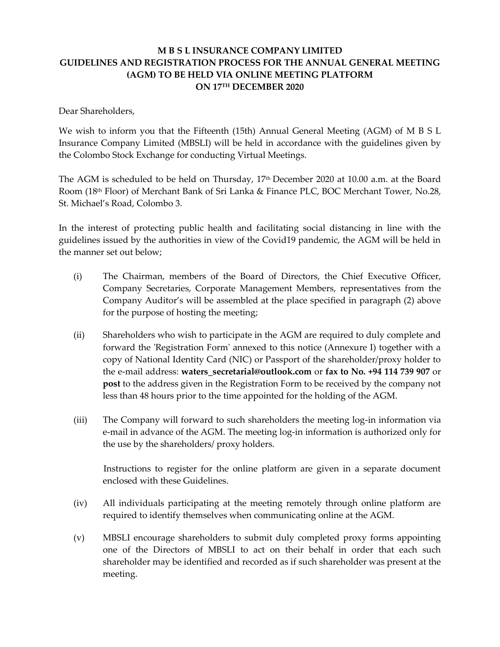# **M B S L INSURANCE COMPANY LIMITED GUIDELINES AND REGISTRATION PROCESS FOR THE ANNUAL GENERAL MEETING (AGM) TO BE HELD VIA ONLINE MEETING PLATFORM ON 17TH DECEMBER 2020**

Dear Shareholders,

We wish to inform you that the Fifteenth (15th) Annual General Meeting (AGM) of M B S L Insurance Company Limited (MBSLI) will be held in accordance with the guidelines given by the Colombo Stock Exchange for conducting Virtual Meetings.

The AGM is scheduled to be held on Thursday, 17 th December 2020 at 10.00 a.m. at the Board Room (18th Floor) of Merchant Bank of Sri Lanka & Finance PLC, BOC Merchant Tower, No.28, St. Michael's Road, Colombo 3.

In the interest of protecting public health and facilitating social distancing in line with the guidelines issued by the authorities in view of the Covid19 pandemic, the AGM will be held in the manner set out below;

- (i) The Chairman, members of the Board of Directors, the Chief Executive Officer, Company Secretaries, Corporate Management Members, representatives from the Company Auditor's will be assembled at the place specified in paragraph (2) above for the purpose of hosting the meeting;
- (ii) Shareholders who wish to participate in the AGM are required to duly complete and forward the 'Registration Form' annexed to this notice (Annexure I) together with a copy of National Identity Card (NIC) or Passport of the shareholder/proxy holder to the e-mail address: **waters\_secretarial@outlook.com** or **fax to No. +94 114 739 907** or **post** to the address given in the Registration Form to be received by the company not less than 48 hours prior to the time appointed for the holding of the AGM.
- (iii) The Company will forward to such shareholders the meeting log-in information via e-mail in advance of the AGM. The meeting log-in information is authorized only for the use by the shareholders/ proxy holders.

Instructions to register for the online platform are given in a separate document enclosed with these Guidelines.

- (iv) All individuals participating at the meeting remotely through online platform are required to identify themselves when communicating online at the AGM.
- (v) MBSLI encourage shareholders to submit duly completed proxy forms appointing one of the Directors of MBSLI to act on their behalf in order that each such shareholder may be identified and recorded as if such shareholder was present at the meeting.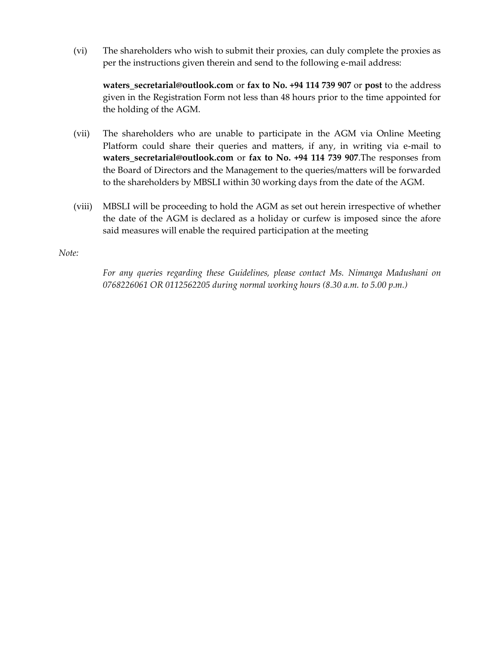(vi) The shareholders who wish to submit their proxies, can duly complete the proxies as per the instructions given therein and send to the following e-mail address:

**waters\_secretarial@outlook.com** or **fax to No. +94 114 739 907** or **post** to the address given in the Registration Form not less than 48 hours prior to the time appointed for the holding of the AGM.

- (vii) The shareholders who are unable to participate in the AGM via Online Meeting Platform could share their queries and matters, if any, in writing via e-mail to **waters\_secretarial@outlook.com** or **fax to No. +94 114 739 907**.The responses from the Board of Directors and the Management to the queries/matters will be forwarded to the shareholders by MBSLI within 30 working days from the date of the AGM.
- (viii) MBSLI will be proceeding to hold the AGM as set out herein irrespective of whether the date of the AGM is declared as a holiday or curfew is imposed since the afore said measures will enable the required participation at the meeting

*Note:*

*For any queries regarding these Guidelines, please contact Ms. Nimanga Madushani on 0768226061 OR 0112562205 during normal working hours (8.30 a.m. to 5.00 p.m.)*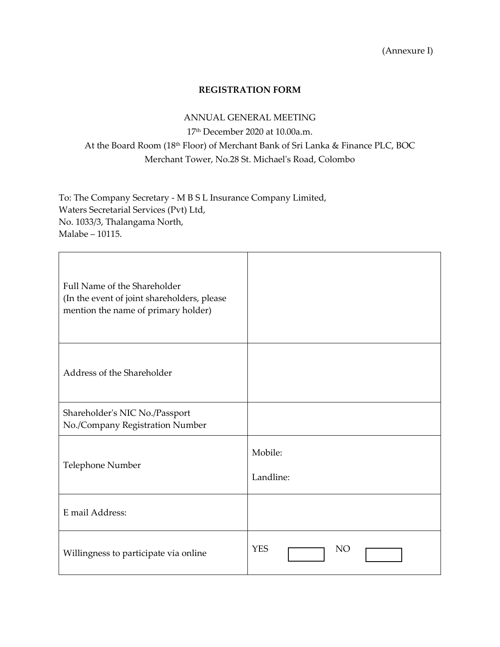(Annexure I)

#### **REGISTRATION FORM**

#### ANNUAL GENERAL MEETING

17 th December 2020 at 10.00a.m. At the Board Room (18th Floor) of Merchant Bank of Sri Lanka & Finance PLC, BOC Merchant Tower, No.28 St. Michael's Road, Colombo

To: The Company Secretary - M B S L Insurance Company Limited, Waters Secretarial Services (Pvt) Ltd, No. 1033/3, Thalangama North, Malabe – 10115.

| Full Name of the Shareholder<br>(In the event of joint shareholders, please<br>mention the name of primary holder) |                         |
|--------------------------------------------------------------------------------------------------------------------|-------------------------|
| Address of the Shareholder                                                                                         |                         |
| Shareholder's NIC No./Passport<br>No./Company Registration Number                                                  |                         |
| Telephone Number                                                                                                   | Mobile:<br>Landline:    |
| E mail Address:                                                                                                    |                         |
| Willingness to participate via online                                                                              | <b>YES</b><br><b>NO</b> |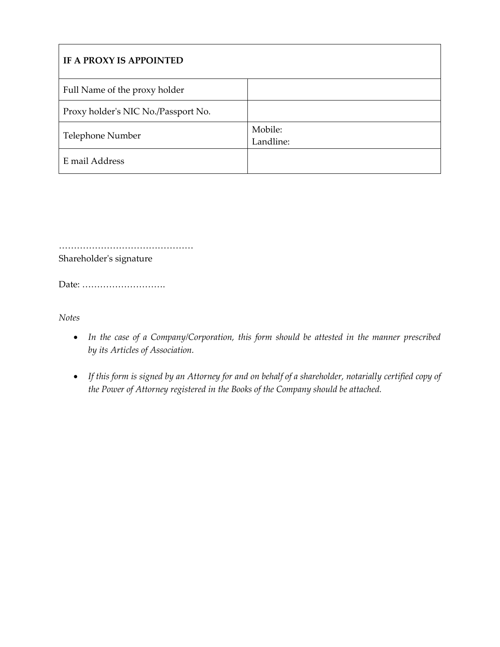| IF A PROXY IS APPOINTED             |                      |
|-------------------------------------|----------------------|
| Full Name of the proxy holder       |                      |
| Proxy holder's NIC No./Passport No. |                      |
| Telephone Number                    | Mobile:<br>Landline: |
| E mail Address                      |                      |

……………………………………………… Shareholder's signature

Date: ……………………….

*Notes*

- *In the case of a Company/Corporation, this form should be attested in the manner prescribed by its Articles of Association.*
- *If this form is signed by an Attorney for and on behalf of a shareholder, notarially certified copy of the Power of Attorney registered in the Books of the Company should be attached.*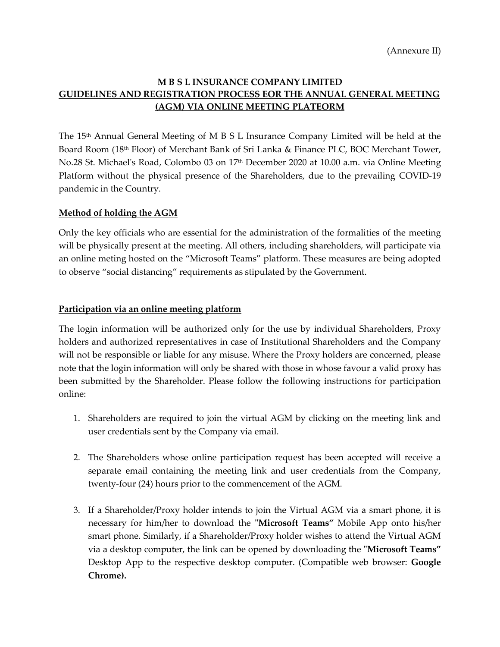# **M B S L INSURANCE COMPANY LIMITED GUIDELINES AND REGISTRATION PROCESS EOR THE ANNUAL GENERAL MEETING (AGM) VIA ONLINE MEETING PLATEORM**

The 15th Annual General Meeting of M B S L Insurance Company Limited will be held at the Board Room (18<sup>th</sup> Floor) of Merchant Bank of Sri Lanka & Finance PLC, BOC Merchant Tower, No.28 St. Michael's Road, Colombo 03 on 17 th December 2020 at 10.00 a.m. via Online Meeting Platform without the physical presence of the Shareholders, due to the prevailing COVID-19 pandemic in the Country.

# **Method of holding the AGM**

Only the key officials who are essential for the administration of the formalities of the meeting will be physically present at the meeting. All others, including shareholders, will participate via an online meting hosted on the "Microsoft Teams" platform. These measures are being adopted to observe "social distancing" requirements as stipulated by the Government.

#### **Participation via an online meeting platform**

The login information will be authorized only for the use by individual Shareholders, Proxy holders and authorized representatives in case of Institutional Shareholders and the Company will not be responsible or liable for any misuse. Where the Proxy holders are concerned, please note that the login information will only be shared with those in whose favour a valid proxy has been submitted by the Shareholder. Please follow the following instructions for participation online:

- 1. Shareholders are required to join the virtual AGM by clicking on the meeting link and user credentials sent by the Company via email.
- 2. The Shareholders whose online participation request has been accepted will receive a separate email containing the meeting link and user credentials from the Company, twenty-four (24) hours prior to the commencement of the AGM.
- 3. If a Shareholder/Proxy holder intends to join the Virtual AGM via a smart phone, it is necessary for him/her to download the **"Microsoft Teams"** Mobile App onto his/her smart phone. Similarly, if a Shareholder/Proxy holder wishes to attend the Virtual AGM via a desktop computer, the link can be opened by downloading the **"Microsoft Teams"** Desktop App to the respective desktop computer. (Compatible web browser: **Google Chrome).**